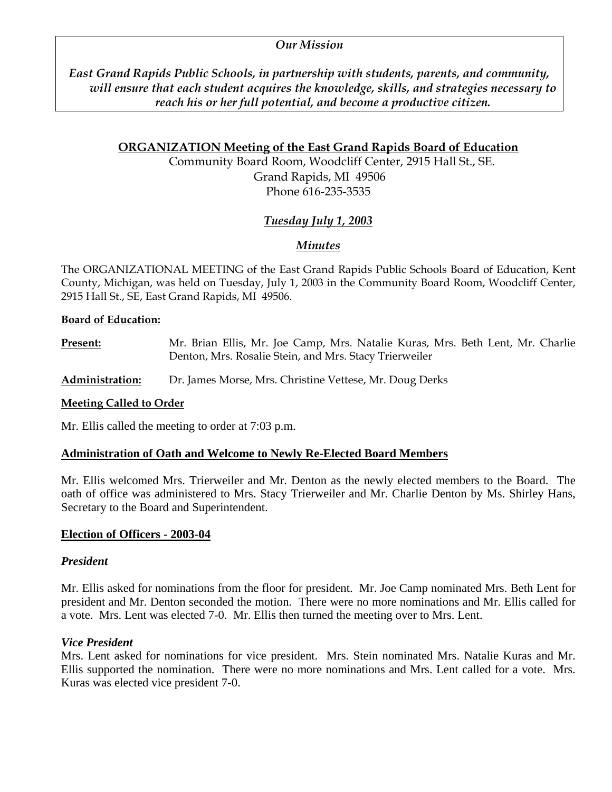#### *Our Mission*

*East Grand Rapids Public Schools, in partnership with students, parents, and community, will ensure that each student acquires the knowledge, skills, and strategies necessary to reach his or her full potential, and become a productive citizen.* 

#### **ORGANIZATION Meeting of the East Grand Rapids Board of Education**

Community Board Room, Woodcliff Center, 2915 Hall St., SE. Grand Rapids, MI 49506 Phone 616-235-3535

# *Tuesday July 1, 2003*

# *Minutes*

The ORGANIZATIONAL MEETING of the East Grand Rapids Public Schools Board of Education, Kent County, Michigan, was held on Tuesday, July 1, 2003 in the Community Board Room, Woodcliff Center, 2915 Hall St., SE, East Grand Rapids, MI 49506.

#### **Board of Education:**

**Present:** Mr. Brian Ellis, Mr. Joe Camp, Mrs. Natalie Kuras, Mrs. Beth Lent, Mr. Charlie Denton, Mrs. Rosalie Stein, and Mrs. Stacy Trierweiler

**Administration:** Dr. James Morse, Mrs. Christine Vettese, Mr. Doug Derks

#### **Meeting Called to Order**

Mr. Ellis called the meeting to order at 7:03 p.m.

#### **Administration of Oath and Welcome to Newly Re-Elected Board Members**

Mr. Ellis welcomed Mrs. Trierweiler and Mr. Denton as the newly elected members to the Board. The oath of office was administered to Mrs. Stacy Trierweiler and Mr. Charlie Denton by Ms. Shirley Hans, Secretary to the Board and Superintendent.

#### **Election of Officers - 2003-04**

#### *President*

Mr. Ellis asked for nominations from the floor for president. Mr. Joe Camp nominated Mrs. Beth Lent for president and Mr. Denton seconded the motion. There were no more nominations and Mr. Ellis called for a vote. Mrs. Lent was elected 7-0. Mr. Ellis then turned the meeting over to Mrs. Lent.

#### *Vice President*

Mrs. Lent asked for nominations for vice president. Mrs. Stein nominated Mrs. Natalie Kuras and Mr. Ellis supported the nomination. There were no more nominations and Mrs. Lent called for a vote. Mrs. Kuras was elected vice president 7-0.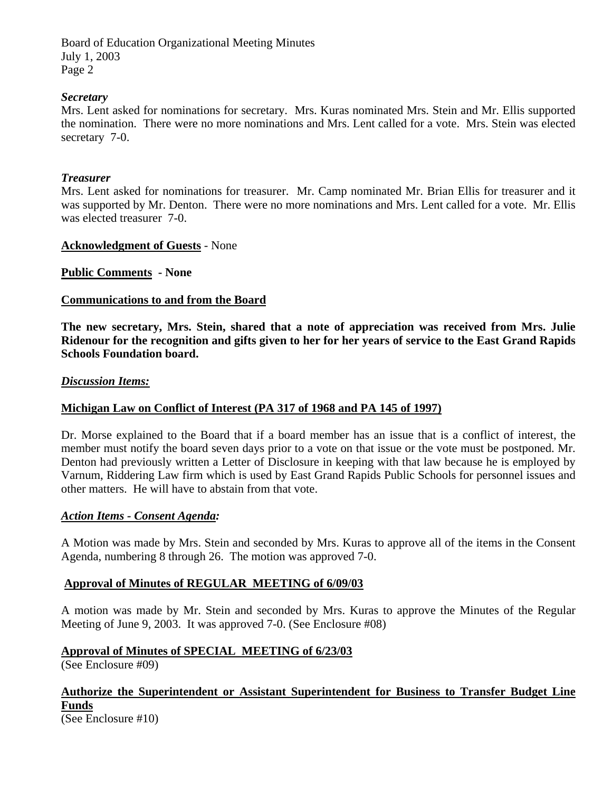## *Secretary*

Mrs. Lent asked for nominations for secretary. Mrs. Kuras nominated Mrs. Stein and Mr. Ellis supported the nomination. There were no more nominations and Mrs. Lent called for a vote. Mrs. Stein was elected secretary 7-0.

#### *Treasurer*

Mrs. Lent asked for nominations for treasurer. Mr. Camp nominated Mr. Brian Ellis for treasurer and it was supported by Mr. Denton. There were no more nominations and Mrs. Lent called for a vote. Mr. Ellis was elected treasurer 7-0.

#### **Acknowledgment of Guests** - None

**Public Comments - None** 

#### **Communications to and from the Board**

**The new secretary, Mrs. Stein, shared that a note of appreciation was received from Mrs. Julie Ridenour for the recognition and gifts given to her for her years of service to the East Grand Rapids Schools Foundation board.** 

#### *Discussion Items:*

## **Michigan Law on Conflict of Interest (PA 317 of 1968 and PA 145 of 1997)**

Dr. Morse explained to the Board that if a board member has an issue that is a conflict of interest, the member must notify the board seven days prior to a vote on that issue or the vote must be postponed. Mr. Denton had previously written a Letter of Disclosure in keeping with that law because he is employed by Varnum, Riddering Law firm which is used by East Grand Rapids Public Schools for personnel issues and other matters. He will have to abstain from that vote.

#### *Action Items - Consent Agenda:*

A Motion was made by Mrs. Stein and seconded by Mrs. Kuras to approve all of the items in the Consent Agenda, numbering 8 through 26. The motion was approved 7-0.

## **Approval of Minutes of REGULAR MEETING of 6/09/03**

A motion was made by Mr. Stein and seconded by Mrs. Kuras to approve the Minutes of the Regular Meeting of June 9, 2003. It was approved 7-0. (See Enclosure #08)

## **Approval of Minutes of SPECIAL MEETING of 6/23/03**

(See Enclosure #09)

# **Authorize the Superintendent or Assistant Superintendent for Business to Transfer Budget Line Funds**

(See Enclosure #10)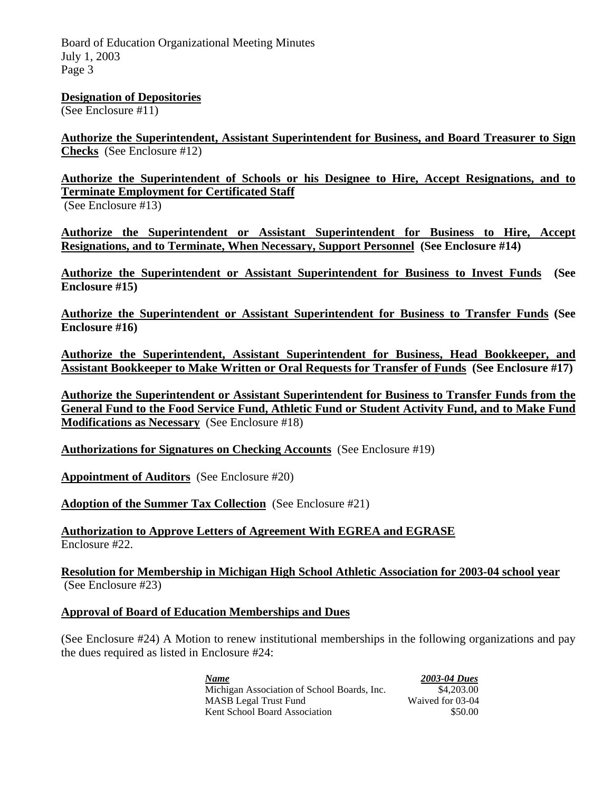**Designation of Depositories**

(See Enclosure #11)

**Authorize the Superintendent, Assistant Superintendent for Business, and Board Treasurer to Sign Checks** (See Enclosure #12)

**Authorize the Superintendent of Schools or his Designee to Hire, Accept Resignations, and to Terminate Employment for Certificated Staff** 

(See Enclosure #13)

**Authorize the Superintendent or Assistant Superintendent for Business to Hire, Accept Resignations, and to Terminate, When Necessary, Support Personnel (See Enclosure #14)** 

**Authorize the Superintendent or Assistant Superintendent for Business to Invest Funds (See Enclosure #15)** 

**Authorize the Superintendent or Assistant Superintendent for Business to Transfer Funds (See Enclosure #16)** 

**Authorize the Superintendent, Assistant Superintendent for Business, Head Bookkeeper, and Assistant Bookkeeper to Make Written or Oral Requests for Transfer of Funds (See Enclosure #17)** 

**Authorize the Superintendent or Assistant Superintendent for Business to Transfer Funds from the General Fund to the Food Service Fund, Athletic Fund or Student Activity Fund, and to Make Fund Modifications as Necessary** (See Enclosure #18)

**Authorizations for Signatures on Checking Accounts** (See Enclosure #19)

**Appointment of Auditors** (See Enclosure #20)

**Adoption of the Summer Tax Collection** (See Enclosure #21)

**Authorization to Approve Letters of Agreement With EGREA and EGRASE** Enclosure #22.

**Resolution for Membership in Michigan High School Athletic Association for 2003-04 school year** (See Enclosure #23)

#### **Approval of Board of Education Memberships and Dues**

(See Enclosure #24) A Motion to renew institutional memberships in the following organizations and pay the dues required as listed in Enclosure #24:

 *Name 2003-04 Dues* Michigan Association of School Boards, Inc. \$4,203.00 MASB Legal Trust Fund Waived for 03-04 Kent School Board Association  $$50.00$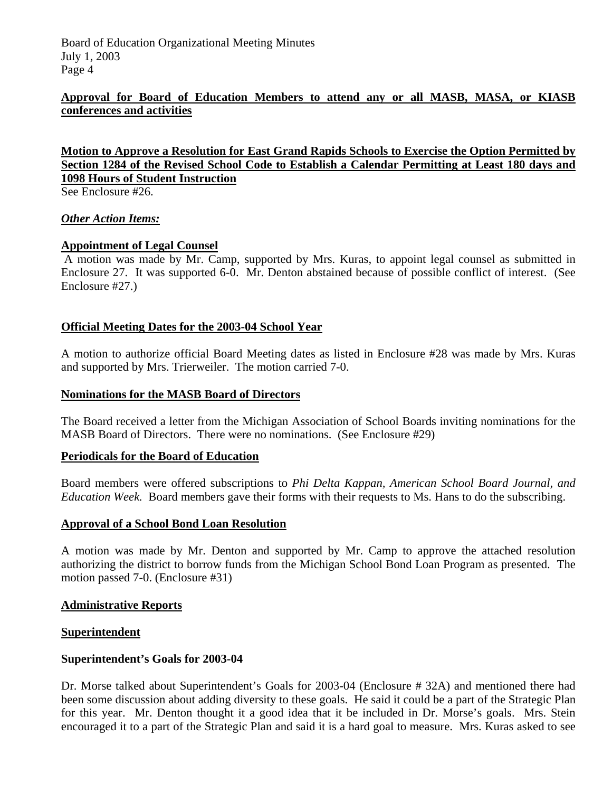## **Approval for Board of Education Members to attend any or all MASB, MASA, or KIASB conferences and activities**

**Motion to Approve a Resolution for East Grand Rapids Schools to Exercise the Option Permitted by Section 1284 of the Revised School Code to Establish a Calendar Permitting at Least 180 days and 1098 Hours of Student Instruction**

See Enclosure #26.

#### *Other Action Items:*

## **Appointment of Legal Counsel**

 A motion was made by Mr. Camp, supported by Mrs. Kuras, to appoint legal counsel as submitted in Enclosure 27. It was supported 6-0. Mr. Denton abstained because of possible conflict of interest. (See Enclosure #27.)

## **Official Meeting Dates for the 2003-04 School Year**

A motion to authorize official Board Meeting dates as listed in Enclosure #28 was made by Mrs. Kuras and supported by Mrs. Trierweiler. The motion carried 7-0.

#### **Nominations for the MASB Board of Directors**

The Board received a letter from the Michigan Association of School Boards inviting nominations for the MASB Board of Directors. There were no nominations. (See Enclosure #29)

#### **Periodicals for the Board of Education**

Board members were offered subscriptions to *Phi Delta Kappan, American School Board Journal, and Education Week.* Board members gave their forms with their requests to Ms. Hans to do the subscribing.

#### **Approval of a School Bond Loan Resolution**

A motion was made by Mr. Denton and supported by Mr. Camp to approve the attached resolution authorizing the district to borrow funds from the Michigan School Bond Loan Program as presented. The motion passed 7-0. (Enclosure #31)

#### **Administrative Reports**

#### **Superintendent**

#### **Superintendent's Goals for 2003-04**

Dr. Morse talked about Superintendent's Goals for 2003-04 (Enclosure # 32A) and mentioned there had been some discussion about adding diversity to these goals. He said it could be a part of the Strategic Plan for this year. Mr. Denton thought it a good idea that it be included in Dr. Morse's goals. Mrs. Stein encouraged it to a part of the Strategic Plan and said it is a hard goal to measure. Mrs. Kuras asked to see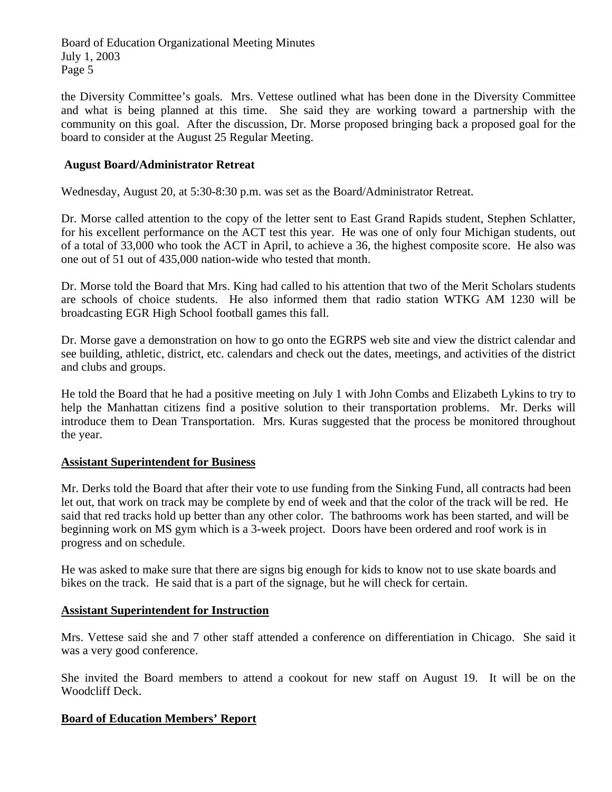the Diversity Committee's goals. Mrs. Vettese outlined what has been done in the Diversity Committee and what is being planned at this time. She said they are working toward a partnership with the community on this goal. After the discussion, Dr. Morse proposed bringing back a proposed goal for the board to consider at the August 25 Regular Meeting.

## **August Board/Administrator Retreat**

Wednesday, August 20, at 5:30-8:30 p.m. was set as the Board/Administrator Retreat.

Dr. Morse called attention to the copy of the letter sent to East Grand Rapids student, Stephen Schlatter, for his excellent performance on the ACT test this year. He was one of only four Michigan students, out of a total of 33,000 who took the ACT in April, to achieve a 36, the highest composite score. He also was one out of 51 out of 435,000 nation-wide who tested that month.

Dr. Morse told the Board that Mrs. King had called to his attention that two of the Merit Scholars students are schools of choice students. He also informed them that radio station WTKG AM 1230 will be broadcasting EGR High School football games this fall.

Dr. Morse gave a demonstration on how to go onto the EGRPS web site and view the district calendar and see building, athletic, district, etc. calendars and check out the dates, meetings, and activities of the district and clubs and groups.

He told the Board that he had a positive meeting on July 1 with John Combs and Elizabeth Lykins to try to help the Manhattan citizens find a positive solution to their transportation problems. Mr. Derks will introduce them to Dean Transportation. Mrs. Kuras suggested that the process be monitored throughout the year.

#### **Assistant Superintendent for Business**

Mr. Derks told the Board that after their vote to use funding from the Sinking Fund, all contracts had been let out, that work on track may be complete by end of week and that the color of the track will be red. He said that red tracks hold up better than any other color. The bathrooms work has been started, and will be beginning work on MS gym which is a 3-week project. Doors have been ordered and roof work is in progress and on schedule.

He was asked to make sure that there are signs big enough for kids to know not to use skate boards and bikes on the track. He said that is a part of the signage, but he will check for certain.

#### **Assistant Superintendent for Instruction**

Mrs. Vettese said she and 7 other staff attended a conference on differentiation in Chicago. She said it was a very good conference.

She invited the Board members to attend a cookout for new staff on August 19. It will be on the Woodcliff Deck.

## **Board of Education Members' Report**